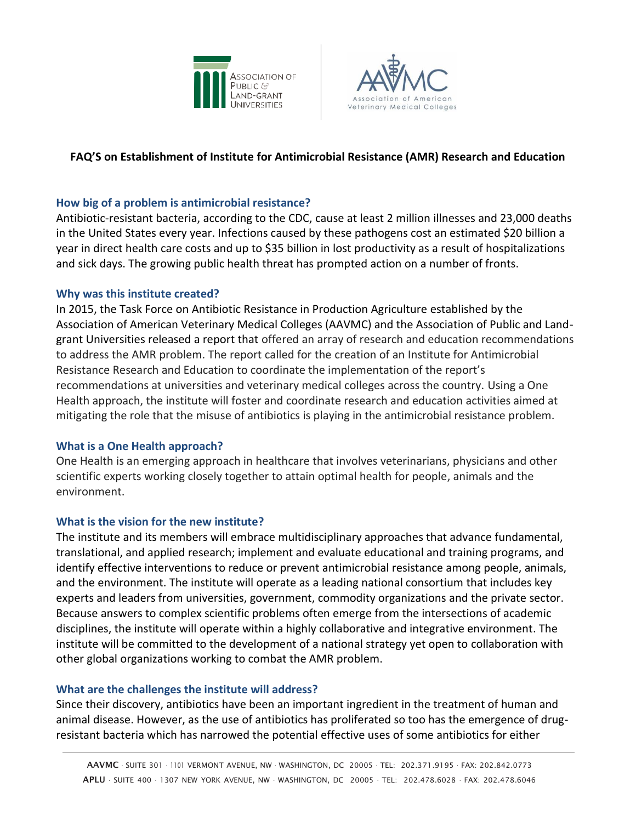



# **FAQ'S on Establishment of Institute for Antimicrobial Resistance (AMR) Research and Education**

## **How big of a problem is antimicrobial resistance?**

Antibiotic-resistant bacteria, according to the CDC, cause at least 2 million illnesses and 23,000 deaths in the United States every year. Infections caused by these pathogens cost an estimated \$20 billion a year in direct health care costs and up to \$35 billion in lost productivity as a result of hospitalizations and sick days. The growing public health threat has prompted action on a number of fronts.

### **Why was this institute created?**

In 2015, the Task Force on Antibiotic Resistance in Production Agriculture established by the Association of American Veterinary Medical Colleges (AAVMC) and the Association of Public and Landgrant Universities released a report that offered an array of research and education recommendations to address the AMR problem. The report called for the creation of an Institute for Antimicrobial Resistance Research and Education to coordinate the implementation of the report's recommendations at universities and veterinary medical colleges across the country. Using a One Health approach, the institute will foster and coordinate research and education activities aimed at mitigating the role that the misuse of antibiotics is playing in the antimicrobial resistance problem.

### **What is a One Health approach?**

One Health is an emerging approach in healthcare that involves veterinarians, physicians and other scientific experts working closely together to attain optimal health for people, animals and the environment.

### **What is the vision for the new institute?**

The institute and its members will embrace multidisciplinary approaches that advance fundamental, translational, and applied research; implement and evaluate educational and training programs, and identify effective interventions to reduce or prevent antimicrobial resistance among people, animals, and the environment. The institute will operate as a leading national consortium that includes key experts and leaders from universities, government, commodity organizations and the private sector. Because answers to complex scientific problems often emerge from the intersections of academic disciplines, the institute will operate within a highly collaborative and integrative environment. The institute will be committed to the development of a national strategy yet open to collaboration with other global organizations working to combat the AMR problem.

#### **What are the challenges the institute will address?**

Since their discovery, antibiotics have been an important ingredient in the treatment of human and animal disease. However, as the use of antibiotics has proliferated so too has the emergence of drugresistant bacteria which has narrowed the potential effective uses of some antibiotics for either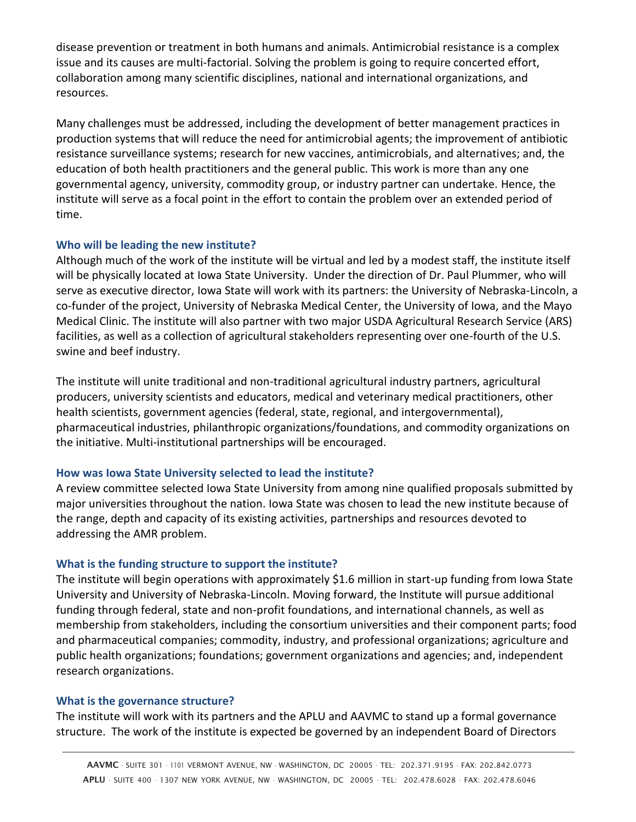disease prevention or treatment in both humans and animals. Antimicrobial resistance is a complex issue and its causes are multi-factorial. Solving the problem is going to require concerted effort, collaboration among many scientific disciplines, national and international organizations, and resources.

Many challenges must be addressed, including the development of better management practices in production systems that will reduce the need for antimicrobial agents; the improvement of antibiotic resistance surveillance systems; research for new vaccines, antimicrobials, and alternatives; and, the education of both health practitioners and the general public. This work is more than any one governmental agency, university, commodity group, or industry partner can undertake. Hence, the institute will serve as a focal point in the effort to contain the problem over an extended period of time.

### **Who will be leading the new institute?**

Although much of the work of the institute will be virtual and led by a modest staff, the institute itself will be physically located at Iowa State University. Under the direction of Dr. Paul Plummer, who will serve as executive director, Iowa State will work with its partners: the University of Nebraska-Lincoln, a co-funder of the project, University of Nebraska Medical Center, the University of Iowa, and the Mayo Medical Clinic. The institute will also partner with two major USDA Agricultural Research Service (ARS) facilities, as well as a collection of agricultural stakeholders representing over one-fourth of the U.S. swine and beef industry.

The institute will unite traditional and non-traditional agricultural industry partners, agricultural producers, university scientists and educators, medical and veterinary medical practitioners, other health scientists, government agencies (federal, state, regional, and intergovernmental), pharmaceutical industries, philanthropic organizations/foundations, and commodity organizations on the initiative. Multi-institutional partnerships will be encouraged.

### **How was Iowa State University selected to lead the institute?**

A review committee selected Iowa State University from among nine qualified proposals submitted by major universities throughout the nation. Iowa State was chosen to lead the new institute because of the range, depth and capacity of its existing activities, partnerships and resources devoted to addressing the AMR problem.

## **What is the funding structure to support the institute?**

The institute will begin operations with approximately \$1.6 million in start-up funding from Iowa State University and University of Nebraska-Lincoln. Moving forward, the Institute will pursue additional funding through federal, state and non-profit foundations, and international channels, as well as membership from stakeholders, including the consortium universities and their component parts; food and pharmaceutical companies; commodity, industry, and professional organizations; agriculture and public health organizations; foundations; government organizations and agencies; and, independent research organizations.

### **What is the governance structure?**

The institute will work with its partners and the APLU and AAVMC to stand up a formal governance structure. The work of the institute is expected be governed by an independent Board of Directors